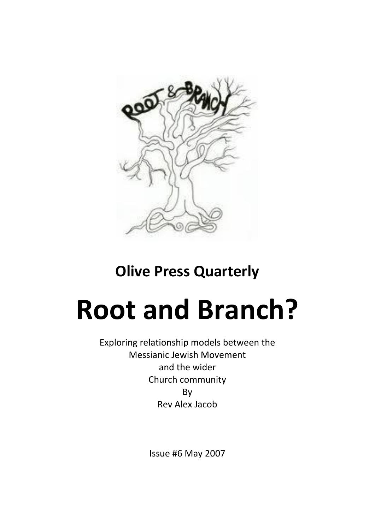

# **Olive Press Quarterly**

# **Root and Branch?**

Exploring relationship models between the Messianic Jewish Movement and the wider Church community By Rev Alex Jacob

Issue #6 May 2007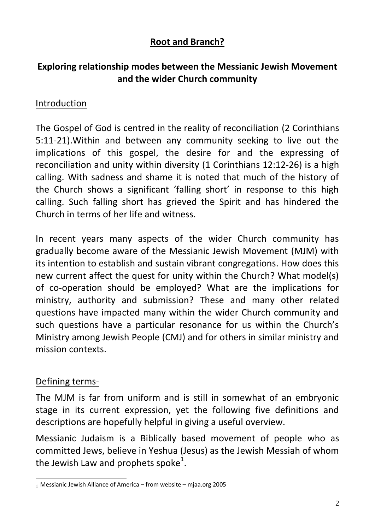# **Root and Branch?**

# **Exploring relationship modes between the Messianic Jewish Movement and the wider Church community**

#### Introduction

The Gospel of God is centred in the reality of reconciliation (2 Corinthians 5:11-21).Within and between any community seeking to live out the implications of this gospel, the desire for and the expressing of reconciliation and unity within diversity (1 Corinthians 12:12-26) is a high calling. With sadness and shame it is noted that much of the history of the Church shows a significant 'falling short' in response to this high calling. Such falling short has grieved the Spirit and has hindered the Church in terms of her life and witness.

In recent years many aspects of the wider Church community has gradually become aware of the Messianic Jewish Movement (MJM) with its intention to establish and sustain vibrant congregations. How does this new current affect the quest for unity within the Church? What model(s) of co-operation should be employed? What are the implications for ministry, authority and submission? These and many other related questions have impacted many within the wider Church community and such questions have a particular resonance for us within the Church's Ministry among Jewish People (CMJ) and for others in similar ministry and mission contexts.

#### Defining terms-

The MJM is far from uniform and is still in somewhat of an embryonic stage in its current expression, yet the following five definitions and descriptions are hopefully helpful in giving a useful overview.

Messianic Judaism is a Biblically based movement of people who as committed Jews, believe in Yeshua (Jesus) as the Jewish Messiah of whom the Jewish Law and prophets spoke<sup>1</sup>.

<sup>&</sup>lt;u>.</u> <sup>1</sup> Messianic Jewish Alliance of America – from website – mjaa.org 2005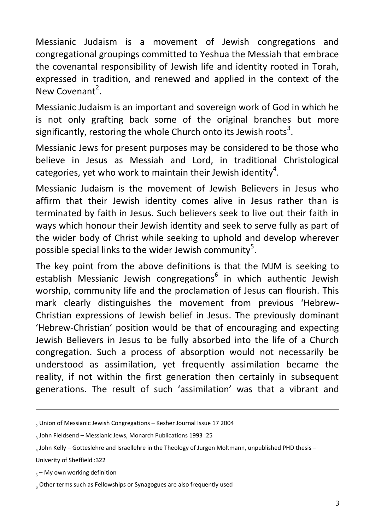Messianic Judaism is a movement of Jewish congregations and congregational groupings committed to Yeshua the Messiah that embrace the covenantal responsibility of Jewish life and identity rooted in Torah, expressed in tradition, and renewed and applied in the context of the New Covenant<sup>2</sup>.

Messianic Judaism is an important and sovereign work of God in which he is not only grafting back some of the original branches but more significantly, restoring the whole Church onto its Jewish roots<sup>3</sup>.

Messianic Jews for present purposes may be considered to be those who believe in Jesus as Messiah and Lord, in traditional Christological categories, yet who work to maintain their Jewish identity<sup>4</sup>.

Messianic Judaism is the movement of Jewish Believers in Jesus who affirm that their Jewish identity comes alive in Jesus rather than is terminated by faith in Jesus. Such believers seek to live out their faith in ways which honour their Jewish identity and seek to serve fully as part of the wider body of Christ while seeking to uphold and develop wherever possible special links to the wider Jewish community<sup>5</sup>.

The key point from the above definitions is that the MJM is seeking to establish Messianic Jewish congregations<sup>6</sup> in which authentic Jewish worship, community life and the proclamation of Jesus can flourish. This mark clearly distinguishes the movement from previous 'Hebrew-Christian expressions of Jewish belief in Jesus. The previously dominant 'Hebrew-Christian' position would be that of encouraging and expecting Jewish Believers in Jesus to be fully absorbed into the life of a Church congregation. Such a process of absorption would not necessarily be understood as assimilation, yet frequently assimilation became the reality, if not within the first generation then certainly in subsequent generations. The result of such 'assimilation' was that a vibrant and

Univerity of Sheffield :322

<u>.</u>

 $2$  Union of Messianic Jewish Congregations – Kesher Journal Issue 17 2004

 $_3$  John Fieldsend – Messianic Jews, Monarch Publications 1993 :25

 $_4$  John Kelly – Gotteslehre and Israellehre in the Theology of Jurgen Moltmann, unpublished PHD thesis –

 $_5$  – My own working definition

 $66$  Other terms such as Fellowships or Synagogues are also frequently used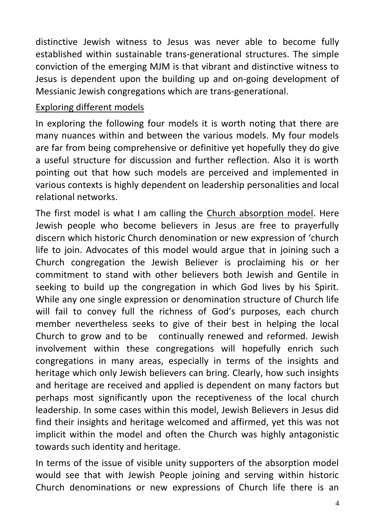distinctive Jewish witness to Jesus was never able to become fully established within sustainable trans-generational structures. The simple conviction of the emerging MJM is that vibrant and distinctive witness to Jesus is dependent upon the building up and on-going development of Messianic Jewish congregations which are trans-generational.

### Exploring different models

In exploring the following four models it is worth noting that there are many nuances within and between the various models. My four models are far from being comprehensive or definitive yet hopefully they do give a useful structure for discussion and further reflection. Also it is worth pointing out that how such models are perceived and implemented in various contexts is highly dependent on leadership personalities and local relational networks.

The first model is what I am calling the Church absorption model. Here Jewish people who become believers in Jesus are free to prayerfully discern which historic Church denomination or new expression of 'church life to join. Advocates of this model would argue that in joining such a Church congregation the Jewish Believer is proclaiming his or her commitment to stand with other believers both Jewish and Gentile in seeking to build up the congregation in which God lives by his Spirit. While any one single expression or denomination structure of Church life will fail to convey full the richness of God's purposes, each church member nevertheless seeks to give of their best in helping the local Church to grow and to be continually renewed and reformed. Jewish involvement within these congregations will hopefully enrich such congregations in many areas, especially in terms of the insights and heritage which only Jewish believers can bring. Clearly, how such insights and heritage are received and applied is dependent on many factors but perhaps most significantly upon the receptiveness of the local church leadership. In some cases within this model, Jewish Believers in Jesus did find their insights and heritage welcomed and affirmed, yet this was not implicit within the model and often the Church was highly antagonistic towards such identity and heritage.

In terms of the issue of visible unity supporters of the absorption model would see that with Jewish People joining and serving within historic Church denominations or new expressions of Church life there is an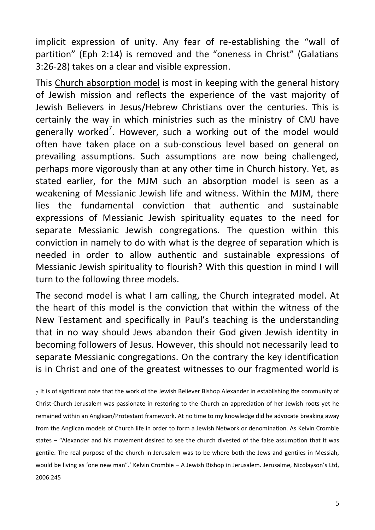implicit expression of unity. Any fear of re-establishing the "wall of partition" (Eph 2:14) is removed and the "oneness in Christ" (Galatians 3:26-28) takes on a clear and visible expression.

This Church absorption model is most in keeping with the general history of Jewish mission and reflects the experience of the vast majority of Jewish Believers in Jesus/Hebrew Christians over the centuries. This is certainly the way in which ministries such as the ministry of CMJ have generally worked<sup>7</sup>. However, such a working out of the model would often have taken place on a sub-conscious level based on general on prevailing assumptions. Such assumptions are now being challenged, perhaps more vigorously than at any other time in Church history. Yet, as stated earlier, for the MJM such an absorption model is seen as a weakening of Messianic Jewish life and witness. Within the MJM, there lies the fundamental conviction that authentic and sustainable expressions of Messianic Jewish spirituality equates to the need for separate Messianic Jewish congregations. The question within this conviction in namely to do with what is the degree of separation which is needed in order to allow authentic and sustainable expressions of Messianic Jewish spirituality to flourish? With this question in mind I will turn to the following three models.

The second model is what I am calling, the Church integrated model. At the heart of this model is the conviction that within the witness of the New Testament and specifically in Paul's teaching is the understanding that in no way should Jews abandon their God given Jewish identity in becoming followers of Jesus. However, this should not necessarily lead to separate Messianic congregations. On the contrary the key identification is in Christ and one of the greatest witnesses to our fragmented world is

<sup>&</sup>lt;u>.</u>  $_7$  It is of significant note that the work of the Jewish Believer Bishop Alexander in establishing the community of Christ-Church Jerusalem was passionate in restoring to the Church an appreciation of her Jewish roots yet he remained within an Anglican/Protestant framework. At no time to my knowledge did he advocate breaking away from the Anglican models of Church life in order to form a Jewish Network or denomination. As Kelvin Crombie states – "Alexander and his movement desired to see the church divested of the false assumption that it was gentile. The real purpose of the church in Jerusalem was to be where both the Jews and gentiles in Messiah, would be living as 'one new man".' Kelvin Crombie - A Jewish Bishop in Jerusalem. Jerusalme, Nicolayson's Ltd, 2006:245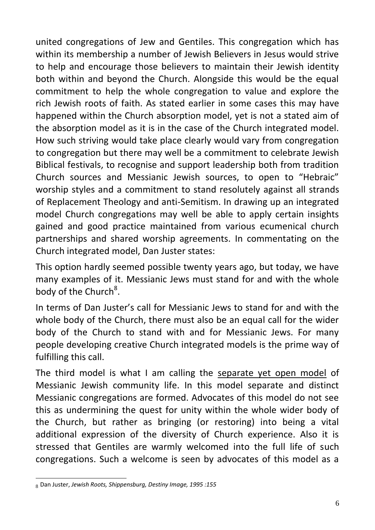united congregations of Jew and Gentiles. This congregation which has within its membership a number of Jewish Believers in Jesus would strive to help and encourage those believers to maintain their Jewish identity both within and beyond the Church. Alongside this would be the equal commitment to help the whole congregation to value and explore the rich Jewish roots of faith. As stated earlier in some cases this may have happened within the Church absorption model, yet is not a stated aim of the absorption model as it is in the case of the Church integrated model. How such striving would take place clearly would vary from congregation to congregation but there may well be a commitment to celebrate Jewish Biblical festivals, to recognise and support leadership both from tradition Church sources and Messianic Jewish sources, to open to "Hebraic" worship styles and a commitment to stand resolutely against all strands of Replacement Theology and anti-Semitism. In drawing up an integrated model Church congregations may well be able to apply certain insights gained and good practice maintained from various ecumenical church partnerships and shared worship agreements. In commentating on the Church integrated model, Dan Juster states:

This option hardly seemed possible twenty years ago, but today, we have many examples of it. Messianic Jews must stand for and with the whole body of the Church<sup>8</sup>.

In terms of Dan Juster's call for Messianic Jews to stand for and with the whole body of the Church, there must also be an equal call for the wider body of the Church to stand with and for Messianic Jews. For many people developing creative Church integrated models is the prime way of fulfilling this call.

The third model is what I am calling the separate yet open model of Messianic Jewish community life. In this model separate and distinct Messianic congregations are formed. Advocates of this model do not see this as undermining the quest for unity within the whole wider body of the Church, but rather as bringing (or restoring) into being a vital additional expression of the diversity of Church experience. Also it is stressed that Gentiles are warmly welcomed into the full life of such congregations. Such a welcome is seen by advocates of this model as a

<sup>&</sup>lt;u>.</u> <sup>8</sup> Dan Juster, *Jewish Roots, Shippensburg, Destiny Image, 1995 :155*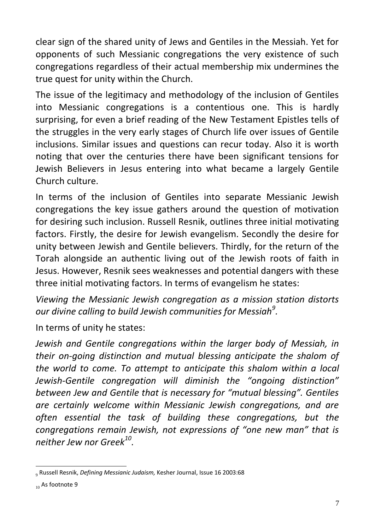clear sign of the shared unity of Jews and Gentiles in the Messiah. Yet for opponents of such Messianic congregations the very existence of such congregations regardless of their actual membership mix undermines the true quest for unity within the Church.

The issue of the legitimacy and methodology of the inclusion of Gentiles into Messianic congregations is a contentious one. This is hardly surprising, for even a brief reading of the New Testament Epistles tells of the struggles in the very early stages of Church life over issues of Gentile inclusions. Similar issues and questions can recur today. Also it is worth noting that over the centuries there have been significant tensions for Jewish Believers in Jesus entering into what became a largely Gentile Church culture.

In terms of the inclusion of Gentiles into separate Messianic Jewish congregations the key issue gathers around the question of motivation for desiring such inclusion. Russell Resnik, outlines three initial motivating factors. Firstly, the desire for Jewish evangelism. Secondly the desire for unity between Jewish and Gentile believers. Thirdly, for the return of the Torah alongside an authentic living out of the Jewish roots of faith in Jesus. However, Resnik sees weaknesses and potential dangers with these three initial motivating factors. In terms of evangelism he states:

*Viewing the Messianic Jewish congregation as a mission station distorts our divine calling to build Jewish communities for Messiah<sup>9</sup> .*

In terms of unity he states:

*Jewish and Gentile congregations within the larger body of Messiah, in their on-going distinction and mutual blessing anticipate the shalom of the world to come. To attempt to anticipate this shalom within a local Jewish-Gentile congregation will diminish the "ongoing distinction" between Jew and Gentile that is necessary for "mutual blessing". Gentiles are certainly welcome within Messianic Jewish congregations, and are often essential the task of building these congregations, but the congregations remain Jewish, not expressions of "one new man" that is neither Jew nor Greek<sup>10</sup> .*

<sup>&</sup>lt;u>.</u> 9 Russell Resnik, *Defining Messianic Judaism,* Kesher Journal, Issue 16 2003:68

 $_{10}$  As footnote 9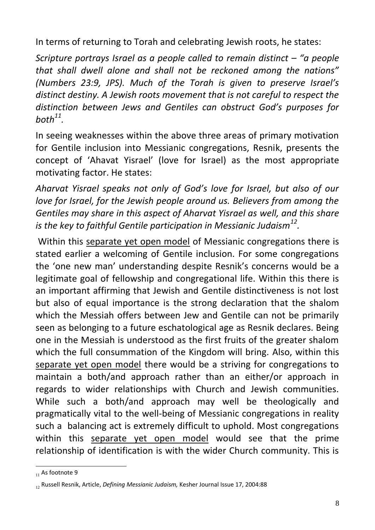In terms of returning to Torah and celebrating Jewish roots, he states:

*Scripture portrays Israel as a people called to remain distinct – "a people that shall dwell alone and shall not be reckoned among the nations" (Numbers 23:9, JPS). Much of the Torah is given to preserve Israel's distinct destiny. A Jewish roots movement that is not careful to respect the distinction between Jews and Gentiles can obstruct God's purposes for both<sup>11</sup> .*

In seeing weaknesses within the above three areas of primary motivation for Gentile inclusion into Messianic congregations, Resnik, presents the concept of 'Ahavat Yisrael' (love for Israel) as the most appropriate motivating factor. He states:

*Aharvat Yisrael speaks not only of God's love for Israel, but also of our love for Israel, for the Jewish people around us. Believers from among the Gentiles may share in this aspect of Aharvat Yisrael as well, and this share is the key to faithful Gentile participation in Messianic Judaism<sup>12</sup> .*

Within this separate yet open model of Messianic congregations there is stated earlier a welcoming of Gentile inclusion. For some congregations the 'one new man' understanding despite Resnik's concerns would be a legitimate goal of fellowship and congregational life. Within this there is an important affirming that Jewish and Gentile distinctiveness is not lost but also of equal importance is the strong declaration that the shalom which the Messiah offers between Jew and Gentile can not be primarily seen as belonging to a future eschatological age as Resnik declares. Being one in the Messiah is understood as the first fruits of the greater shalom which the full consummation of the Kingdom will bring. Also, within this separate yet open model there would be a striving for congregations to maintain a both/and approach rather than an either/or approach in regards to wider relationships with Church and Jewish communities. While such a both/and approach may well be theologically and pragmatically vital to the well-being of Messianic congregations in reality such a balancing act is extremely difficult to uphold. Most congregations within this separate yet open model would see that the prime relationship of identification is with the wider Church community. This is

<sup>&</sup>lt;u>.</u>  $_{11}$  As footnote 9

<sup>12</sup> Russell Resnik, Article, *Defining Messianic Judaism,* Kesher Journal Issue 17, 2004:88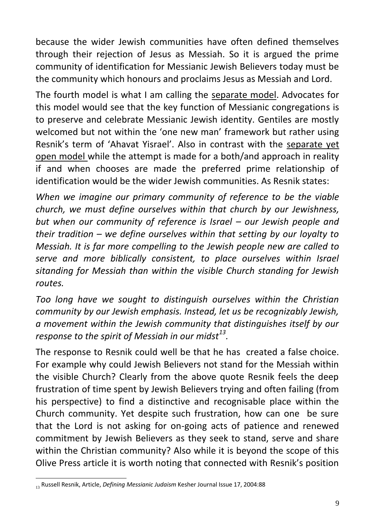because the wider Jewish communities have often defined themselves through their rejection of Jesus as Messiah. So it is argued the prime community of identification for Messianic Jewish Believers today must be the community which honours and proclaims Jesus as Messiah and Lord.

The fourth model is what I am calling the separate model. Advocates for this model would see that the key function of Messianic congregations is to preserve and celebrate Messianic Jewish identity. Gentiles are mostly welcomed but not within the 'one new man' framework but rather using Resnik's term of 'Ahavat Yisrael'. Also in contrast with the separate yet open model while the attempt is made for a both/and approach in reality if and when chooses are made the preferred prime relationship of identification would be the wider Jewish communities. As Resnik states:

*When we imagine our primary community of reference to be the viable church, we must define ourselves within that church by our Jewishness, but when our community of reference is Israel – our Jewish people and their tradition – we define ourselves within that setting by our loyalty to Messiah. It is far more compelling to the Jewish people new are called to serve and more biblically consistent, to place ourselves within Israel sitanding for Messiah than within the visible Church standing for Jewish routes.*

*Too long have we sought to distinguish ourselves within the Christian community by our Jewish emphasis. Instead, let us be recognizably Jewish, a movement within the Jewish community that distinguishes itself by our response to the spirit of Messiah in our midst<sup>13</sup> .*

The response to Resnik could well be that he has created a false choice. For example why could Jewish Believers not stand for the Messiah within the visible Church? Clearly from the above quote Resnik feels the deep frustration of time spent by Jewish Believers trying and often failing (from his perspective) to find a distinctive and recognisable place within the Church community. Yet despite such frustration, how can one be sure that the Lord is not asking for on-going acts of patience and renewed commitment by Jewish Believers as they seek to stand, serve and share within the Christian community? Also while it is beyond the scope of this Olive Press article it is worth noting that connected with Resnik's position

<sup>&</sup>lt;u>.</u> <sup>13</sup> Russell Resnik, Article, *Defining Messianic Judaism* Kesher Journal Issue 17, 2004:88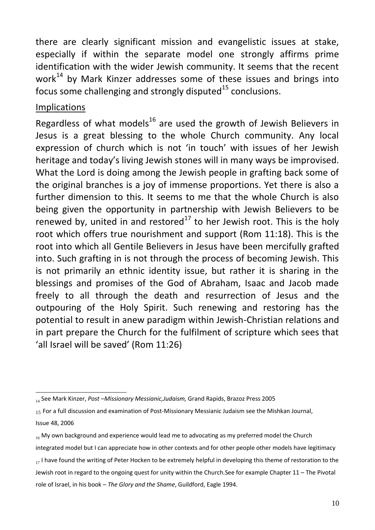there are clearly significant mission and evangelistic issues at stake, especially if within the separate model one strongly affirms prime identification with the wider Jewish community. It seems that the recent work<sup>14</sup> by Mark Kinzer addresses some of these issues and brings into focus some challenging and strongly disputed $15$  conclusions.

#### Implications

Regardless of what models<sup>16</sup> are used the growth of Jewish Believers in Jesus is a great blessing to the whole Church community. Any local expression of church which is not 'in touch' with issues of her Jewish heritage and today's living Jewish stones will in many ways be improvised. What the Lord is doing among the Jewish people in grafting back some of the original branches is a joy of immense proportions. Yet there is also a further dimension to this. It seems to me that the whole Church is also being given the opportunity in partnership with Jewish Believers to be renewed by, united in and restored<sup>17</sup> to her Jewish root. This is the holy root which offers true nourishment and support (Rom 11:18). This is the root into which all Gentile Believers in Jesus have been mercifully grafted into. Such grafting in is not through the process of becoming Jewish. This is not primarily an ethnic identity issue, but rather it is sharing in the blessings and promises of the God of Abraham, Isaac and Jacob made freely to all through the death and resurrection of Jesus and the outpouring of the Holy Spirit. Such renewing and restoring has the potential to result in anew paradigm within Jewish-Christian relations and in part prepare the Church for the fulfilment of scripture which sees that 'all Israel will be saved' (Rom 11:26)

<sup>1</sup> <sup>14</sup> See Mark Kinzer, *Post –Missionary Messianic,Judaism,* Grand Rapids, Brazoz Press 2005

<sup>15</sup> For a full discussion and examination of Post-Missionary Messianic Judaism see the Mishkan Journal, Issue 48, 2006

 $_{16}$  My own background and experience would lead me to advocating as my preferred model the Church

integrated model but I can appreciate how in other contexts and for other people other models have legitimacy

 $17$  I have found the writing of Peter Hocken to be extremely helpful in developing this theme of restoration to the Jewish root in regard to the ongoing quest for unity within the Church.See for example Chapter 11 – The Pivotal role of Israel, in his book – *The Glory and the Shame*, Guildford, Eagle 1994.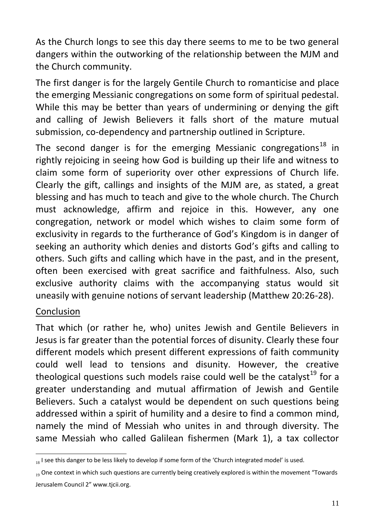As the Church longs to see this day there seems to me to be two general dangers within the outworking of the relationship between the MJM and the Church community.

The first danger is for the largely Gentile Church to romanticise and place the emerging Messianic congregations on some form of spiritual pedestal. While this may be better than years of undermining or denying the gift and calling of Jewish Believers it falls short of the mature mutual submission, co-dependency and partnership outlined in Scripture.

The second danger is for the emerging Messianic congregations<sup>18</sup> in rightly rejoicing in seeing how God is building up their life and witness to claim some form of superiority over other expressions of Church life. Clearly the gift, callings and insights of the MJM are, as stated, a great blessing and has much to teach and give to the whole church. The Church must acknowledge, affirm and rejoice in this. However, any one congregation, network or model which wishes to claim some form of exclusivity in regards to the furtherance of God's Kingdom is in danger of seeking an authority which denies and distorts God's gifts and calling to others. Such gifts and calling which have in the past, and in the present, often been exercised with great sacrifice and faithfulness. Also, such exclusive authority claims with the accompanying status would sit uneasily with genuine notions of servant leadership (Matthew 20:26-28).

# Conclusion

That which (or rather he, who) unites Jewish and Gentile Believers in Jesus is far greater than the potential forces of disunity. Clearly these four different models which present different expressions of faith community could well lead to tensions and disunity. However, the creative theological questions such models raise could well be the catalyst<sup>19</sup> for a greater understanding and mutual affirmation of Jewish and Gentile Believers. Such a catalyst would be dependent on such questions being addressed within a spirit of humility and a desire to find a common mind, namely the mind of Messiah who unites in and through diversity. The same Messiah who called Galilean fishermen (Mark 1), a tax collector

<sup>&</sup>lt;u>.</u>  $_{18}$  I see this danger to be less likely to develop if some form of the 'Church integrated model' is used.

<sup>10</sup> One context in which such questions are currently being creatively explored is within the movement "Towards" Jerusalem Council 2" www.tjcii.org.